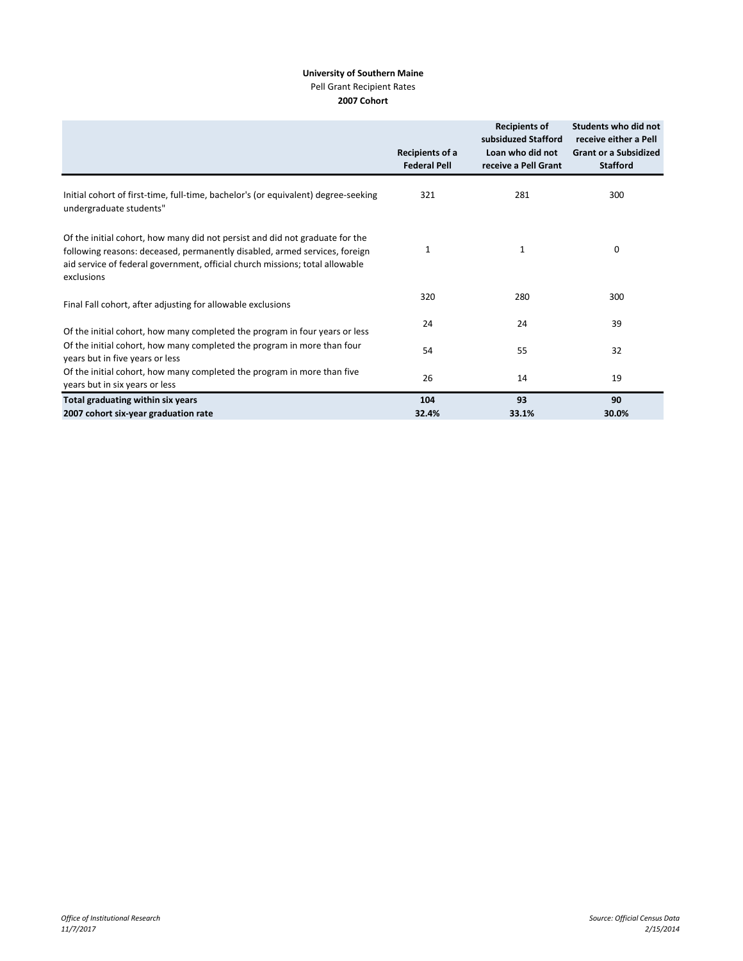## **University of Southern Maine** Pell Grant Recipient Rates **2007 Cohort**

|                                                                                                                                                                                                                                                          | Recipients of a<br><b>Federal Pell</b> | <b>Recipients of</b><br>subsiduzed Stafford<br>Loan who did not<br>receive a Pell Grant | Students who did not<br>receive either a Pell<br><b>Grant or a Subsidized</b><br><b>Stafford</b> |
|----------------------------------------------------------------------------------------------------------------------------------------------------------------------------------------------------------------------------------------------------------|----------------------------------------|-----------------------------------------------------------------------------------------|--------------------------------------------------------------------------------------------------|
| Initial cohort of first-time, full-time, bachelor's (or equivalent) degree-seeking<br>undergraduate students"                                                                                                                                            | 321                                    | 281                                                                                     | 300                                                                                              |
| Of the initial cohort, how many did not persist and did not graduate for the<br>following reasons: deceased, permanently disabled, armed services, foreign<br>aid service of federal government, official church missions; total allowable<br>exclusions | 1                                      | 1                                                                                       | 0                                                                                                |
| Final Fall cohort, after adjusting for allowable exclusions                                                                                                                                                                                              | 320                                    | 280                                                                                     | 300                                                                                              |
| Of the initial cohort, how many completed the program in four years or less                                                                                                                                                                              | 24                                     | 24                                                                                      | 39                                                                                               |
| Of the initial cohort, how many completed the program in more than four<br>years but in five years or less                                                                                                                                               | 54                                     | 55                                                                                      | 32                                                                                               |
| Of the initial cohort, how many completed the program in more than five<br>years but in six years or less                                                                                                                                                | 26                                     | 14                                                                                      | 19                                                                                               |
| Total graduating within six years                                                                                                                                                                                                                        | 104                                    | 93                                                                                      | 90                                                                                               |
| 2007 cohort six-year graduation rate                                                                                                                                                                                                                     | 32.4%                                  | 33.1%                                                                                   | 30.0%                                                                                            |